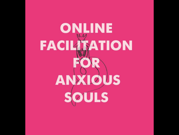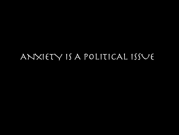#### ANXIETY IS A POLITICAL ISSUE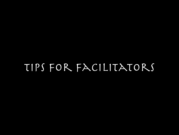## Tips for facilitators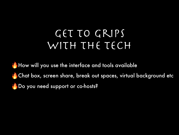## GET TO GRIPS WITH THE TECH

How will you use the interface and tools available Chat box, screen share, break out spaces, virtual background etc Do you need support or co-hosts?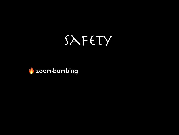# SAFETY

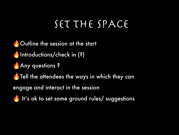# SET THE SPACE

Outline the session at the start Introductions/check in (?) **Any questions? Tell the attendees the ways in which they can** engage and interact in the session It's ok to set some ground rules/ suggestions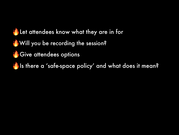

- Will you be recording the session?
	- Give attendees options

Is there a 'safe-space policy' and what does it mean?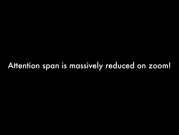### Attention span is massively reduced on zoom!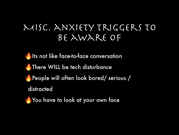#### Misc. anxiety triggers to be aware of

Its not like face-to-face conversation **There WILL be tech disturbance** People will often look bored/ serious / distracted

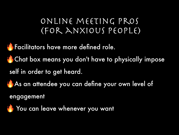#### online meeting pros (for anxious people)

**Facilitators have more defined role.** 

**Chat box means you don't have to physically impose** 

self in order to get heard.

As an attendee you can define your own level of

engagement

You can leave whenever you want